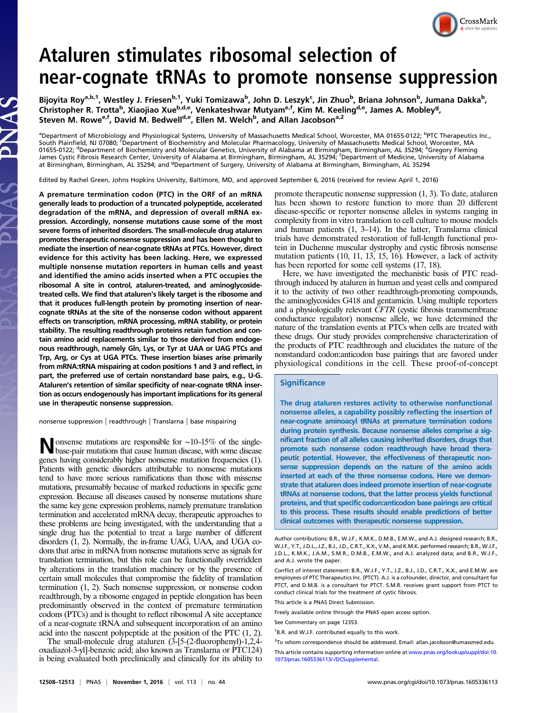

# Ataluren stimulates ribosomal selection of near-cognate tRNAs to promote nonsense suppression

ar-core are are the computed in the suppression of the consense suppression of the consense of the core of the<br>Bijoyita Roy<sup>a,b,1</sup>, Westley J. Friesen<sup>b,1</sup>, Yuki Tomizawa<sup>b</sup>, John D. Leszyk<sup>c</sup>, Jin Zhuo<sup>b</sup>, Briana Johnson<sup></sup> Christopher R. Trotta<sup>b</sup>, Xiaojiao Xue<sup>b,d,e</sup>, Venkateshwar Mutyam<sup>e,f</sup>, Kim M. Keeling<sup>d,e</sup>, James A. Mobley<sup>g</sup>, Steven M. Rowe<sup>e,f</sup>, David M. Bedwell<sup>d,e</sup>, Ellen M. Welch<sup>b</sup>, and Allan Jacobson<sup>a,2</sup>

<sup>a</sup>Department of Microbiology and Physiological Systems, University of Massachusetts Medical School, Worcester, MA 01655-0122; <sup>b</sup>PTC Therapeutics Inc., South Plainfield, NJ 07080; <sup>c</sup>Department of Biochemistry and Molecular Pharmacology, University of Massachusetts Medical School, Worcester, MA<br>01655-0122; <sup>d</sup>Department of Biochemistry and Molecular Genetics, University o at Birmingham, Birmingham, AL 35294; and <sup>g</sup>Department of Surgery, University of Alabama at Birmingham, Birmingham, AL 35294

Edited by Rachel Green, Johns Hopkins University, Baltimore, MD, and approved September 6, 2016 (received for review April 1, 2016)

A premature termination codon (PTC) in the ORF of an mRNA generally leads to production of a truncated polypeptide, accelerated degradation of the mRNA, and depression of overall mRNA expression. Accordingly, nonsense mutations cause some of the most severe forms of inherited disorders. The small-molecule drug ataluren promotes therapeutic nonsense suppression and has been thought to mediate the insertion of near-cognate tRNAs at PTCs. However, direct evidence for this activity has been lacking. Here, we expressed multiple nonsense mutation reporters in human cells and yeast and identified the amino acids inserted when a PTC occupies the ribosomal A site in control, ataluren-treated, and aminoglycosidetreated cells. We find that ataluren's likely target is the ribosome and that it produces full-length protein by promoting insertion of nearcognate tRNAs at the site of the nonsense codon without apparent effects on transcription, mRNA processing, mRNA stability, or protein stability. The resulting readthrough proteins retain function and contain amino acid replacements similar to those derived from endogenous readthrough, namely Gln, Lys, or Tyr at UAA or UAG PTCs and Trp, Arg, or Cys at UGA PTCs. These insertion biases arise primarily from mRNA:tRNA mispairing at codon positions 1 and 3 and reflect, in part, the preferred use of certain nonstandard base pairs, e.g., U-G. Ataluren's retention of similar specificity of near-cognate tRNA insertion as occurs endogenously has important implications for its general use in therapeutic nonsense suppression.

nonsense suppression | readthrough | Translarna | base mispairing

Nonsense mutations are responsible for ∼10–15% of the single-<br>base-pair mutations that cause human disease, with some disease genes having considerably higher nonsense mutation frequencies (1). Patients with genetic disorders attributable to nonsense mutations tend to have more serious ramifications than those with missense mutations, presumably because of marked reductions in specific gene expression. Because all diseases caused by nonsense mutations share the same key gene expression problems, namely premature translation termination and accelerated mRNA decay, therapeutic approaches to these problems are being investigated, with the understanding that a single drug has the potential to treat a large number of different disorders (1, 2). Normally, the in-frame UAG, UAA, and UGA codons that arise in mRNA from nonsense mutations serve as signals for translation termination, but this role can be functionally overridden by alterations in the translation machinery or by the presence of certain small molecules that compromise the fidelity of translation termination (1, 2). Such nonsense suppression, or nonsense codon readthrough, by a ribosome engaged in peptide elongation has been predominantly observed in the context of premature termination codons (PTCs) and is thought to reflect ribosomal A site acceptance of a near-cognate tRNA and subsequent incorporation of an amino acid into the nascent polypeptide at the position of the PTC (1, 2).

The small-molecule drug ataluren (3-[5-(2-fluorophenyl)-1,2,4 oxadiazol-3-yl]-benzoic acid; also known as Translarna or PTC124) is being evaluated both preclinically and clinically for its ability to

promote therapeutic nonsense suppression (1, 3). To date, ataluren has been shown to restore function to more than 20 different disease-specific or reporter nonsense alleles in systems ranging in complexity from in vitro translation to cell culture to mouse models and human patients (1, 3–14). In the latter, Translarna clinical trials have demonstrated restoration of full-length functional protein in Duchenne muscular dystrophy and cystic fibrosis nonsense mutation patients (10, 11, 13, 15, 16). However, a lack of activity has been reported for some cell systems (17, 18).

Here, we have investigated the mechanistic basis of PTC readthrough induced by ataluren in human and yeast cells and compared it to the activity of two other readthrough-promoting compounds, the aminoglycosides G418 and gentamicin. Using multiple reporters and a physiologically relevant  $\bar{C}FTR$  (cystic fibrosis transmembrane conductance regulator) nonsense allele, we have determined the nature of the translation events at PTCs when cells are treated with these drugs. Our study provides comprehensive characterization of the products of PTC readthrough and elucidates the nature of the nonstandard codon:anticodon base pairings that are favored under physiological conditions in the cell. These proof-of-concept

## **Significance**

The drug ataluren restores activity to otherwise nonfunctional nonsense alleles, a capability possibly reflecting the insertion of near-cognate aminoacyl tRNAs at premature termination codons during protein synthesis. Because nonsense alleles comprise a significant fraction of all alleles causing inherited disorders, drugs that promote such nonsense codon readthrough have broad therapeutic potential. However, the effectiveness of therapeutic nonsense suppression depends on the nature of the amino acids inserted at each of the three nonsense codons. Here we demonstrate that ataluren does indeed promote insertion of near-cognate tRNAs at nonsense codons, that the latter process yields functional proteins, and that specific codon:anticodon base pairings are critical to this process. These results should enable predictions of better clinical outcomes with therapeutic nonsense suppression.

<sup>2</sup>To whom correspondence should be addressed. Email: [allan.jacobson@umassmed.edu.](mailto:allan.jacobson@umassmed.edu)

Author contributions: B.R., W.J.F., K.M.K., D.M.B., E.M.W., and A.J. designed research; B.R., W.J.F., Y.T., J.D.L., J.Z., B.J., J.D., C.R.T., X.X., V.M., and K.M.K. performed research; B.R., W.J.F., J.D.L., K.M.K., J.A.M., S.M.R., D.M.B., E.M.W., and A.J. analyzed data; and B.R., W.J.F., and A.J. wrote the paper.

Conflict of interest statement: B.R., W.J.F., Y.T., J.Z., B.J., J.D., C.R.T., X.X., and E.M.W. are employees of PTC Therapeutics Inc. (PTCT). A.J. is a cofounder, director, and consultant for PTCT, and D.M.B. is a consultant for PTCT. S.M.R. receives grant support from PTCT to conduct clinical trials for the treatment of cystic fibrosis.

This article is a PNAS Direct Submission.

Freely available online through the PNAS open access option.

See Commentary on page 12353.

<sup>&</sup>lt;sup>1</sup>B.R. and W.J.F. contributed equally to this work.

This article contains supporting information online at [www.pnas.org/lookup/suppl/doi:10.](http://www.pnas.org/lookup/suppl/doi:10.1073/pnas.1605336113/-/DCSupplemental) [1073/pnas.1605336113/-/DCSupplemental.](http://www.pnas.org/lookup/suppl/doi:10.1073/pnas.1605336113/-/DCSupplemental)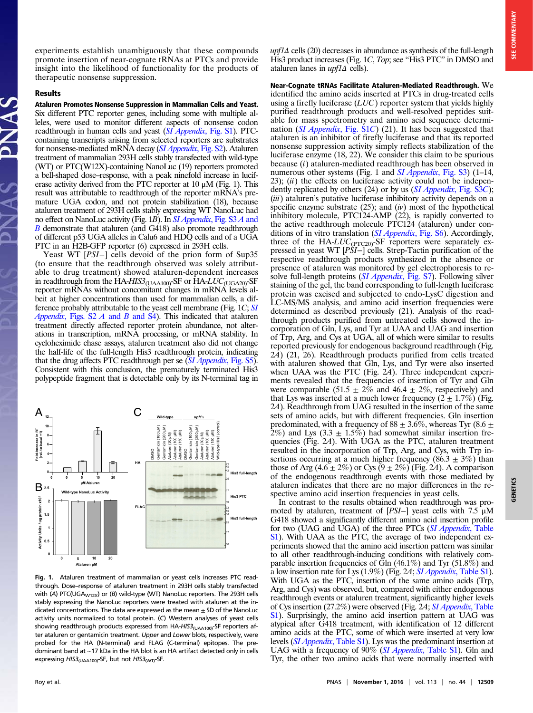experiments establish unambiguously that these compounds promote insertion of near-cognate tRNAs at PTCs and provide insight into the likelihood of functionality for the products of therapeutic nonsense suppression.

### Results

Ataluren Promotes Nonsense Suppression in Mammalian Cells and Yeast. Six different PTC reporter genes, including some with multiple alleles, were used to monitor different aspects of nonsense codon readthrough in human cells and yeast ([SI Appendix](http://www.pnas.org/lookup/suppl/doi:10.1073/pnas.1605336113/-/DCSupplemental/pnas.1605336113.sapp.pdf), Fig. S1). PTCcontaining transcripts arising from selected reporters are substrates for nonsense-mediated mRNA decay (*[SI Appendix](http://www.pnas.org/lookup/suppl/doi:10.1073/pnas.1605336113/-/DCSupplemental/pnas.1605336113.sapp.pdf)*, Fig. S2). Ataluren treatment of mammalian 293H cells stably transfected with wild-type (WT) or PTC(W12X)-containing NanoLuc (19) reporters promoted a bell-shaped dose–response, with a peak ninefold increase in luciferase activity derived from the PTC reporter at  $10 \mu$ M (Fig. 1). This result was attributable to readthrough of the reporter mRNA's premature UGA codon, and not protein stabilization (18), because ataluren treatment of 293H cells stably expressing WT NanoLuc had no effect on NanoLuc activity (Fig. 1B). In [SI Appendix](http://www.pnas.org/lookup/suppl/doi:10.1073/pnas.1605336113/-/DCSupplemental/pnas.1605336113.sapp.pdf), Fig. S3 A and [B](http://www.pnas.org/lookup/suppl/doi:10.1073/pnas.1605336113/-/DCSupplemental/pnas.1605336113.sapp.pdf) demonstrate that ataluren (and G418) also promote readthrough of different p53 UGA alleles in Calu6 and HDQ cells and of a UGA PTC in an H2B-GFP reporter (6) expressed in 293H cells.

Yeast WT [PSI−] cells devoid of the prion form of Sup35 (to ensure that the readthrough observed was solely attributable to drug treatment) showed ataluren-dependent increases in readthrough from the  $HA-HIS3$ <sub>(UAA100)</sub>-SF or  $HA-LUC$ <sub>(UGA20)</sub>-SF reporter mRNAs without concomitant changes in mRNA levels albeit at higher concentrations than used for mammalian cells, a dif-ference probably attributable to the yeast cell membrane (Fig. 1C; [SI](http://www.pnas.org/lookup/suppl/doi:10.1073/pnas.1605336113/-/DCSupplemental/pnas.1605336113.sapp.pdf) Appendix, Figs.  $S2 \, A$  and  $B$  and  $S4$ ). This indicated that ataluren treatment directly affected reporter protein abundance, not alterations in transcription, mRNA processing, or mRNA stability. In cycloheximide chase assays, ataluren treatment also did not change the half-life of the full-length His3 readthrough protein, indicating that the drug affects PTC readthrough per se ([SI Appendix](http://www.pnas.org/lookup/suppl/doi:10.1073/pnas.1605336113/-/DCSupplemental/pnas.1605336113.sapp.pdf), Fig. S5). Consistent with this conclusion, the prematurely terminated His3 polypeptide fragment that is detectable only by its N-terminal tag in



Fig. 1. Ataluren treatment of mammalian or yeast cells increases PTC readthrough. Dose–response of ataluren treatment in 293H cells stably transfected with (A) PTC(UGA<sub>W12X</sub>) or (B) wild-type (WT) NanoLuc reporters. The 293H cells stably expressing the NanoLuc reporters were treated with ataluren at the indicated concentrations. The data are expressed as the mean  $\pm$  SD of the NanoLuc activity units normalized to total protein. (C) Western analyses of yeast cells showing readthrough products expressed from HA-HIS3<sub>(UAA100)</sub>-SF reporters after ataluren or gentamicin treatment. Upper and Lower blots, respectively, were probed for the HA (N-terminal) and FLAG (C-terminal) epitopes. The predominant band at ∼17 kDa in the HA blot is an HA artifact detected only in cells expressing  $HIS3_{(UAA100)}$ -SF, but not  $HIS3_{(WT)}$ -SF.

 $u$ pf1 $\Delta$  cells (20) decreases in abundance as synthesis of the full-length His3 product increases (Fig. 1C, Top; see "His3 PTC" in DMSO and ataluren lanes in upf1Δ cells).

Near-Cognate tRNAs Facilitate Ataluren-Mediated Readthrough. We identified the amino acids inserted at PTCs in drug-treated cells using a firefly luciferase  $(LUC)$  reporter system that yields highly purified readthrough products and well-resolved peptides suitable for mass spectrometry and amino acid sequence determi-nation ([SI Appendix](http://www.pnas.org/lookup/suppl/doi:10.1073/pnas.1605336113/-/DCSupplemental/pnas.1605336113.sapp.pdf), Fig. S1C) (21). It has been suggested that ataluren is an inhibitor of firefly luciferase and that its reported nonsense suppression activity simply reflects stabilization of the luciferase enzyme (18, 22). We consider this claim to be spurious because (i) ataluren-mediated readthrough has been observed in numerous other systems (Fig. 1 and *[SI Appendix](http://www.pnas.org/lookup/suppl/doi:10.1073/pnas.1605336113/-/DCSupplemental/pnas.1605336113.sapp.pdf)*, Fig. S3) (1–14,  $(23)$ ;  $(ii)$  the effects on luciferase activity could not be independently replicated by others (24) or by us (*[SI Appendix](http://www.pnas.org/lookup/suppl/doi:10.1073/pnas.1605336113/-/DCSupplemental/pnas.1605336113.sapp.pdf)*, Fig. S3C); (*iii*) ataluren's putative luciferase inhibitory activity depends on a specific enzyme substrate  $(25)$ ; and  $(iv)$  most of the hypothetical inhibitory molecule, PTC124-AMP (22), is rapidly converted to the active readthrough molecule PTC124 (ataluren) under con-ditions of in vitro translation ([SI Appendix](http://www.pnas.org/lookup/suppl/doi:10.1073/pnas.1605336113/-/DCSupplemental/pnas.1605336113.sapp.pdf), Fig. S6). Accordingly, three of the HA- $LUC_{\text{(PTC20)}}$ -SF reporters were separately expressed in yeast WT  $[PSI–]$  cells. Strep-Tactin purification of the respective readthrough products synthesized in the absence or presence of ataluren was monitored by gel electrophoresis to re-solve full-length proteins ([SI Appendix](http://www.pnas.org/lookup/suppl/doi:10.1073/pnas.1605336113/-/DCSupplemental/pnas.1605336113.sapp.pdf), Fig. S7). Following silver staining of the gel, the band corresponding to full-length luciferase protein was excised and subjected to endo-LysC digestion and LC-MS/MS analysis, and amino acid insertion frequencies were determined as described previously (21). Analysis of the readthrough products purified from untreated cells showed the incorporation of Gln, Lys, and Tyr at UAA and UAG and insertion of Trp, Arg, and Cys at UGA, all of which were similar to results reported previously for endogenous background readthrough (Fig. 2A) (21, 26). Readthrough products purified from cells treated with ataluren showed that Gln, Lys, and Tyr were also inserted when UAA was the PTC (Fig. 2*A*). Three independent experiments revealed that the frequencies of insertion of Tyr and Gln were comparable (51.5  $\pm$  2% and 46.4  $\pm$  2%, respectively) and that Lys was inserted at a much lower frequency  $(2 \pm 1.7\%)$  (Fig. 2A). Readthrough from UAG resulted in the insertion of the same sets of amino acids, but with different frequencies. Gln insertion predominated, with a frequency of 88  $\pm$  3.6%, whereas Tyr (8.6  $\pm$ 2%) and Lys (3.3  $\pm$  1.5%) had somewhat similar insertion frequencies (Fig. 2A). With UGA as the PTC, ataluren treatment resulted in the incorporation of Trp, Arg, and Cys, with Trp insertions occurring at a much higher frequency  $(86.3 \pm 3\%)$  than those of Arg  $(4.6 \pm 2\%)$  or Cys  $(9 \pm 2\%)$  (Fig. 2A). A comparison of the endogenous readthrough events with those mediated by ataluren indicates that there are no major differences in the respective amino acid insertion frequencies in yeast cells.

In contrast to the results obtained when readthrough was promoted by ataluren, treatment of [PSI−] yeast cells with 7.5 μM G418 showed a significantly different amino acid insertion profile for two (UAG and UGA) of the three PTCs ([SI Appendix](http://www.pnas.org/lookup/suppl/doi:10.1073/pnas.1605336113/-/DCSupplemental/pnas.1605336113.sapp.pdf), Table [S1\)](http://www.pnas.org/lookup/suppl/doi:10.1073/pnas.1605336113/-/DCSupplemental/pnas.1605336113.sapp.pdf). With UAA as the PTC, the average of two independent experiments showed that the amino acid insertion pattern was similar to all other readthrough-inducing conditions with relatively comparable insertion frequencies of Gln (46.1%) and Tyr (51.8%) and a low insertion rate for Lys  $(1.9\%)$  (Fig. 2*A*; *SI Appendix*[, Table S1\)](http://www.pnas.org/lookup/suppl/doi:10.1073/pnas.1605336113/-/DCSupplemental/pnas.1605336113.sapp.pdf). With UGA as the PTC, insertion of the same amino acids (Trp, Arg, and Cys) was observed, but, compared with either endogenous readthrough events or ataluren treatment, significantly higher levels of Cys insertion (27.2%) were observed (Fig. 2A; [SI Appendix](http://www.pnas.org/lookup/suppl/doi:10.1073/pnas.1605336113/-/DCSupplemental/pnas.1605336113.sapp.pdf), Table [S1\)](http://www.pnas.org/lookup/suppl/doi:10.1073/pnas.1605336113/-/DCSupplemental/pnas.1605336113.sapp.pdf). Surprisingly, the amino acid insertion pattern at UAG was atypical after G418 treatment, with identification of 12 different amino acids at the PTC, some of which were inserted at very low levels (SI Appendix[, Table S1\)](http://www.pnas.org/lookup/suppl/doi:10.1073/pnas.1605336113/-/DCSupplemental/pnas.1605336113.sapp.pdf). Lys was the predominant insertion at UAG with a frequency of 90% (SI Appendix[, Table S1](http://www.pnas.org/lookup/suppl/doi:10.1073/pnas.1605336113/-/DCSupplemental/pnas.1605336113.sapp.pdf)). Gln and Tyr, the other two amino acids that were normally inserted with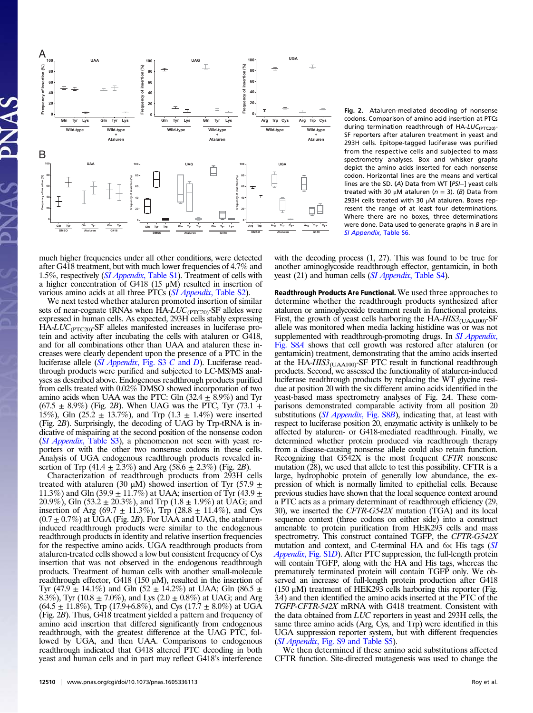

Fig. 2. Ataluren-mediated decoding of nonsense codons. Comparison of amino acid insertion at PTCs during termination readthrough of  $HA-LUC_{(PTC20)}$ -SF reporters after ataluren treatment in yeast and 293H cells. Epitope-tagged luciferase was purified from the respective cells and subjected to mass spectrometry analyses. Box and whisker graphs depict the amino acids inserted for each nonsense codon. Horizontal lines are the means and vertical lines are the SD. (A) Data from WT [PSI−] yeast cells treated with 30  $\mu$ M ataluren ( $n = 3$ ). (B) Data from 293H cells treated with 30 μM ataluren. Boxes represent the range of at least four determinations. Where there are no boxes, three determinations were done. Data used to generate graphs in  $B$  are in [SI Appendix](http://www.pnas.org/lookup/suppl/doi:10.1073/pnas.1605336113/-/DCSupplemental/pnas.1605336113.sapp.pdf), Table S6.

much higher frequencies under all other conditions, were detected after G418 treatment, but with much lower frequencies of 4.7% and 1.5%, respectively (SI Appendix[, Table S1\)](http://www.pnas.org/lookup/suppl/doi:10.1073/pnas.1605336113/-/DCSupplemental/pnas.1605336113.sapp.pdf). Treatment of cells with a higher concentration of G418 (15  $\mu$ M) resulted in insertion of various amino acids at all three PTCs (SI Appendix[, Table S2\)](http://www.pnas.org/lookup/suppl/doi:10.1073/pnas.1605336113/-/DCSupplemental/pnas.1605336113.sapp.pdf).

We next tested whether ataluren promoted insertion of similar sets of near-cognate tRNAs when  $HA-LUC_{(PTC20)}$ -SF alleles were expressed in human cells. As expected, 293H cells stably expressing HA-LUC<sub>(PTC20)</sub>-SF alleles manifested increases in luciferase protein and activity after incubating the cells with ataluren or G418, and for all combinations other than UAA and ataluren these increases were clearly dependent upon the presence of a PTC in the luciferase allele *([SI Appendix](http://www.pnas.org/lookup/suppl/doi:10.1073/pnas.1605336113/-/DCSupplemental/pnas.1605336113.sapp.pdf)*, Fig. S3 C and D). Luciferase readthrough products were purified and subjected to LC-MS/MS analyses as described above. Endogenous readthrough products purified from cells treated with 0.02% DMSO showed incorporation of two amino acids when UAA was the PTC: Gln  $(32.4 \pm 8.9\%)$  and Tyr  $(67.5 \pm 8.9\%)$  (Fig. 2B). When UAG was the PTC, Tyr (73.1 + 15%), Gln  $(25.2 \pm 13.7\%)$ , and Trp  $(1.3 \pm 1.4\%)$  were inserted (Fig. 2B). Surprisingly, the decoding of UAG by Trp-tRNA is indicative of mispairing at the second position of the nonsense codon (SI Appendix[, Table S3\)](http://www.pnas.org/lookup/suppl/doi:10.1073/pnas.1605336113/-/DCSupplemental/pnas.1605336113.sapp.pdf), a phenomenon not seen with yeast reporters or with the other two nonsense codons in these cells. Analysis of UGA endogenous readthrough products revealed insertion of Trp (41.4  $\pm$  2.3%) and Arg (58.6  $\pm$  2.3%) (Fig. 2B).

Characterization of readthrough products from 293H cells treated with ataluren (30  $\mu$ M) showed insertion of Tyr (57.9  $\pm$ 11.3%) and Gln (39.9  $\pm$  11.7%) at UAA; insertion of Tyr (43.9  $\pm$ 20.9%), Gln (53.2  $\pm$  20.3%), and Trp (1.8  $\pm$  1.9%) at UAG; and insertion of Arg (69.7  $\pm$  11.3%), Trp (28.8  $\pm$  11.4%), and Cys (0.7  $\pm$  0.7%) at UGA (Fig. 2B). For UAA and UAG, the atalureninduced readthrough products were similar to the endogenous readthrough products in identity and relative insertion frequencies for the respective amino acids. UGA readthrough products from ataluren-treated cells showed a low but consistent frequency of Cys insertion that was not observed in the endogenous readthrough products. Treatment of human cells with another small-molecule readthrough effector, G418 (150 μM), resulted in the insertion of Tyr (47.9  $\pm$  14.1%) and Gln (52  $\pm$  14.2%) at UAA; Gln (86.5  $\pm$ 8.3%), Tyr (10.8  $\pm$  7.0%), and Lys (2.0  $\pm$  0.8%) at UAG; and Arg  $(64.5 \pm 11.8\%)$ , Trp (17.9+6.8%), and Cys (17.7  $\pm$  8.0%) at UGA (Fig. 2B). Thus, G418 treatment yielded a pattern and frequency of amino acid insertion that differed significantly from endogenous readthrough, with the greatest difference at the UAG PTC, followed by UGA, and then UAA. Comparisons to endogenous readthrough indicated that G418 altered PTC decoding in both yeast and human cells and in part may reflect G418's interference with the decoding process (1, 27). This was found to be true for another aminoglycoside readthrough effector, gentamicin, in both yeast (21) and human cells (SI Appendix[, Table S4](http://www.pnas.org/lookup/suppl/doi:10.1073/pnas.1605336113/-/DCSupplemental/pnas.1605336113.sapp.pdf)).

Readthrough Products Are Functional. We used three approaches to determine whether the readthrough products synthesized after ataluren or aminoglycoside treatment result in functional proteins. First, the growth of yeast cells harboring the  $HA-HIS3$ <sub>(UAA100)</sub>-SF allele was monitored when media lacking histidine was or was not supplemented with readthrough-promoting drugs. In [SI Appendix](http://www.pnas.org/lookup/suppl/doi:10.1073/pnas.1605336113/-/DCSupplemental/pnas.1605336113.sapp.pdf), [Fig. S8](http://www.pnas.org/lookup/suppl/doi:10.1073/pnas.1605336113/-/DCSupplemental/pnas.1605336113.sapp.pdf)A shows that cell growth was restored after ataluren (or gentamicin) treatment, demonstrating that the amino acids inserted at the  $HA-HIS3$ <sub>(UAA100)</sub>-SF PTC result in functional readthrough products. Second, we assessed the functionality of ataluren-induced luciferase readthrough products by replacing the WT glycine residue at position 20 with the six different amino acids identified in the yeast-based mass spectrometry analyses of Fig. 2A. These comparisons demonstrated comparable activity from all position 20 substitutions ([SI Appendix](http://www.pnas.org/lookup/suppl/doi:10.1073/pnas.1605336113/-/DCSupplemental/pnas.1605336113.sapp.pdf), Fig. S8B), indicating that, at least with respect to luciferase position 20, enzymatic activity is unlikely to be affected by ataluren- or G418-mediated readthrough. Finally, we determined whether protein produced via readthrough therapy from a disease-causing nonsense allele could also retain function. Recognizing that G542X is the most frequent CFTR nonsense mutation (28), we used that allele to test this possibility. CFTR is a large, hydrophobic protein of generally low abundance, the expression of which is normally limited to epithelial cells. Because previous studies have shown that the local sequence context around a PTC acts as a primary determinant of readthrough efficiency (29, 30), we inserted the CFTR-G542X mutation (TGA) and its local sequence context (three codons on either side) into a construct amenable to protein purification from HEK293 cells and mass spectrometry. This construct contained TGFP, the CFTR-G542X mutation and context, and C-terminal HA and  $6\times$  His tags ([SI](http://www.pnas.org/lookup/suppl/doi:10.1073/pnas.1605336113/-/DCSupplemental/pnas.1605336113.sapp.pdf) Appendix[, Fig. S1](http://www.pnas.org/lookup/suppl/doi:10.1073/pnas.1605336113/-/DCSupplemental/pnas.1605336113.sapp.pdf)D). After PTC suppression, the full-length protein will contain TGFP, along with the HA and His tags, whereas the prematurely terminated protein will contain TGFP only. We observed an increase of full-length protein production after G418 (150  $\mu$ M) treatment of HEK293 cells harboring this reporter (Fig. 3A) and then identified the amino acids inserted at the PTC of the TGFP-CFTR-542X mRNA with G418 treatment. Consistent with the data obtained from LUC reporters in yeast and 293H cells, the same three amino acids (Arg, Cys, and Trp) were identified in this UGA suppression reporter system, but with different frequencies (SI Appendix[, Fig. S9 and Table S5](http://www.pnas.org/lookup/suppl/doi:10.1073/pnas.1605336113/-/DCSupplemental/pnas.1605336113.sapp.pdf)).

We then determined if these amino acid substitutions affected CFTR function. Site-directed mutagenesis was used to change the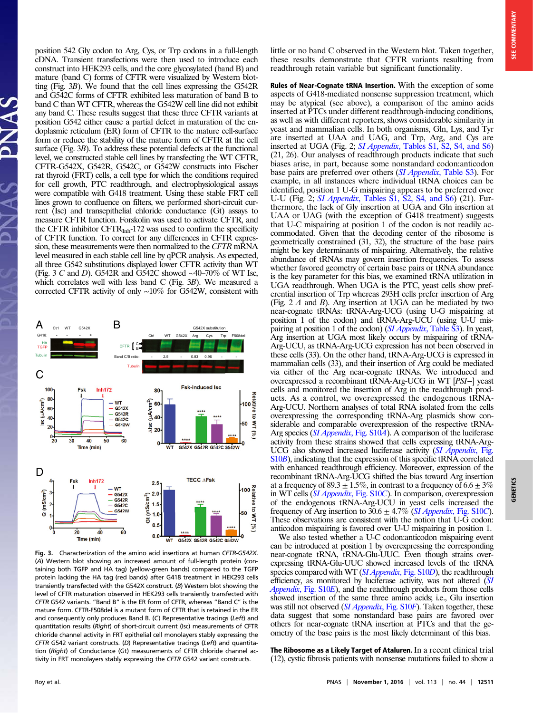position 542 Gly codon to Arg, Cys, or Trp codons in a full-length cDNA. Transient transfections were then used to introduce each construct into HEK293 cells, and the core glycosylated (band B) and mature (band C) forms of CFTR were visualized by Western blotting (Fig. 3B). We found that the cell lines expressing the G542R and G542C forms of CFTR exhibited less maturation of band B to band C than WT CFTR, whereas the G542W cell line did not exhibit any band C. These results suggest that these three CFTR variants at position G542 either cause a partial defect in maturation of the endoplasmic reticulum (ER) form of CFTR to the mature cell-surface form or reduce the stability of the mature form of CFTR at the cell surface (Fig. 3B). To address these potential defects at the functional level, we constructed stable cell lines by transfecting the WT CFTR, CFTR-G542X, G542R, G542C, or G542W constructs into Fischer rat thyroid (FRT) cells, a cell type for which the conditions required for cell growth, PTC readthrough, and electrophysiological assays were compatible with G418 treatment. Using these stable FRT cell lines grown to confluence on filters, we performed short-circuit current (Isc) and transepithelial chloride conductance (Gt) assays to measure CFTR function. Forskolin was used to activate CFTR, and the CFTR inhibitor CFTR $_{Inh}$ -172 was used to confirm the specificity of CFTR function. To correct for any differences in CFTR expression, these measurements were then normalized to the CFTR mRNA level measured in each stable cell line by qPCR analysis. As expected, all three G542 substitutions displayed lower CFTR activity than WT (Fig. 3 C and D). G542R and G542C showed  $\sim$ 40–70% of WT Isc, which correlates well with less band C (Fig. 3B). We measured a corrected CFTR activity of only ∼10% for G542W, consistent with



Fig. 3. Characterization of the amino acid insertions at human CFTR-G542X. (A) Western blot showing an increased amount of full-length protein (containing both TGFP and HA tag) (yellow-green bands) compared to the TGFP protein lacking the HA tag (red bands) after G418 treatment in HEK293 cells transiently transfected with the G542X construct. (B) Western blot showing the level of CFTR maturation observed in HEK293 cells transiently transfected with CFTR G542 variants. "Band B" is the ER form of CFTR, whereas "Band C" is the mature form. CFTR-F508del is a mutant form of CFTR that is retained in the ER and consequently only produces Band B. (C) Representative tracings (Left) and quantitation results (Right) of short-circuit current (Isc) measurements of CFTR chloride channel activity in FRT epithelial cell monolayers stably expressing the CFTR G542 variant constructs. (D) Representative tracings (Left) and quantitation (Right) of Conductance (Gt) measurements of CFTR chloride channel activity in FRT monolayers stably expressing the CFTR G542 variant constructs.

little or no band C observed in the Western blot. Taken together, these results demonstrate that CFTR variants resulting from readthrough retain variable but significant functionality.

Rules of Near-Cognate tRNA Insertion. With the exception of some aspects of G418-mediated nonsense suppression treatment, which may be atypical (see above), a comparison of the amino acids inserted at PTCs under different readthrough-inducing conditions, as well as with different reporters, shows considerable similarity in yeast and mammalian cells. In both organisms, Gln, Lys, and Tyr are inserted at UAA and UAG, and Trp, Arg, and Cys are inserted at UGA (Fig. 2; *SI Appendix*[, Tables S1, S2, S4, and S6\)](http://www.pnas.org/lookup/suppl/doi:10.1073/pnas.1605336113/-/DCSupplemental/pnas.1605336113.sapp.pdf) (21, 26). Our analyses of readthrough products indicate that such biases arise, in part, because some nonstandard codon:anticodon base pairs are preferred over others (SI Appendix[, Table S3](http://www.pnas.org/lookup/suppl/doi:10.1073/pnas.1605336113/-/DCSupplemental/pnas.1605336113.sapp.pdf)). For example, in all instances where individual tRNA choices can be identified, position 1 U-G mispairing appears to be preferred over U-U (Fig. 2; SI Appendix[, Tables S1, S2, S4, and S6\)](http://www.pnas.org/lookup/suppl/doi:10.1073/pnas.1605336113/-/DCSupplemental/pnas.1605336113.sapp.pdf) (21). Furthermore, the lack of Gly insertion at UGA and Gln insertion at UAA or UAG (with the exception of G418 treatment) suggests that U-C mispairing at position 1 of the codon is not readily accommodated. Given that the decoding center of the ribosome is geometrically constrained (31, 32), the structure of the base pairs might be key determinants of mispairing. Alternatively, the relative abundance of tRNAs may govern insertion frequencies. To assess whether favored geometry of certain base pairs or tRNA abundance is the key parameter for this bias, we examined tRNA utilization in UGA readthrough. When UGA is the PTC, yeast cells show preferential insertion of Trp whereas 293H cells prefer insertion of Arg (Fig.  $2A$  and  $B$ ). Arg insertion at UGA can be mediated by two near-cognate tRNAs: tRNA-Arg-UCG (using U-G mispairing at position 1 of the codon) and tRNA-Arg-UCU (using U-U mis-pairing at position 1 of the codon) (SI Appendix[, Table S3](http://www.pnas.org/lookup/suppl/doi:10.1073/pnas.1605336113/-/DCSupplemental/pnas.1605336113.sapp.pdf)). In yeast, Arg insertion at UGA most likely occurs by mispairing of tRNA-Arg-UCU, as tRNA-Arg-UCG expression has not been observed in these cells (33). On the other hand, tRNA-Arg-UCG is expressed in mammalian cells (33), and their insertion of Arg could be mediated via either of the Arg near-cognate tRNAs. We introduced and overexpressed a recombinant tRNA-Arg-UCG in WT [PSI−] yeast cells and monitored the insertion of Arg in the readthrough products. As a control, we overexpressed the endogenous tRNA-Arg-UCU. Northern analyses of total RNA isolated from the cells overexpressing the corresponding tRNA-Arg plasmids show considerable and comparable overexpression of the respective tRNA-Arg species (SI Appendix[, Fig. S10](http://www.pnas.org/lookup/suppl/doi:10.1073/pnas.1605336113/-/DCSupplemental/pnas.1605336113.sapp.pdf)A). A comparison of the luciferase activity from these strains showed that cells expressing tRNA-Arg-UCG also showed increased luciferase activity ([SI Appendix](http://www.pnas.org/lookup/suppl/doi:10.1073/pnas.1605336113/-/DCSupplemental/pnas.1605336113.sapp.pdf), Fig. [S10](http://www.pnas.org/lookup/suppl/doi:10.1073/pnas.1605336113/-/DCSupplemental/pnas.1605336113.sapp.pdf)B), indicating that the expression of this specific tRNA correlated with enhanced readthrough efficiency. Moreover, expression of the recombinant tRNA-Arg-UCG shifted the bias toward Arg insertion at a frequency of 89.3  $\pm$  1.5%, in contrast to a frequency of 6.6  $\pm$  3% in WT cells (SI Appendix[, Fig. S10](http://www.pnas.org/lookup/suppl/doi:10.1073/pnas.1605336113/-/DCSupplemental/pnas.1605336113.sapp.pdf)C). In comparison, overexpression of the endogenous tRNA-Arg-UCU in yeast cells increased the frequency of Arg insertion to  $30.6 \pm 4.7\%$  (SI Appendix[, Fig. S10](http://www.pnas.org/lookup/suppl/doi:10.1073/pnas.1605336113/-/DCSupplemental/pnas.1605336113.sapp.pdf)C). These observations are consistent with the notion that U-G codon: anticodon mispairing is favored over U-U mispairing in position 1.

We also tested whether a U-C codon:anticodon mispairing event can be introduced at position 1 by overexpressing the corresponding near-cognate tRNA, tRNA-Glu-UUC. Even though strains overexpressing tRNA-Glu-UUC showed increased levels of the tRNA species compared with WT (*[SI Appendix](http://www.pnas.org/lookup/suppl/doi:10.1073/pnas.1605336113/-/DCSupplemental/pnas.1605336113.sapp.pdf)*, Fig. S10D), the readthrough efficiency, as monitored by luciferase activity, was not altered ([SI](http://www.pnas.org/lookup/suppl/doi:10.1073/pnas.1605336113/-/DCSupplemental/pnas.1605336113.sapp.pdf) Appendix[, Fig. S10](http://www.pnas.org/lookup/suppl/doi:10.1073/pnas.1605336113/-/DCSupplemental/pnas.1605336113.sapp.pdf)E), and the readthrough products from those cells showed insertion of the same three amino acids; i.e., Glu insertion was still not observed (SI Appendix[, Fig. S10](http://www.pnas.org/lookup/suppl/doi:10.1073/pnas.1605336113/-/DCSupplemental/pnas.1605336113.sapp.pdf)F). Taken together, these data suggest that some nonstandard base pairs are favored over others for near-cognate tRNA insertion at PTCs and that the geometry of the base pairs is the most likely determinant of this bias.

The Ribosome as a Likely Target of Ataluren. In a recent clinical trial (12), cystic fibrosis patients with nonsense mutations failed to show a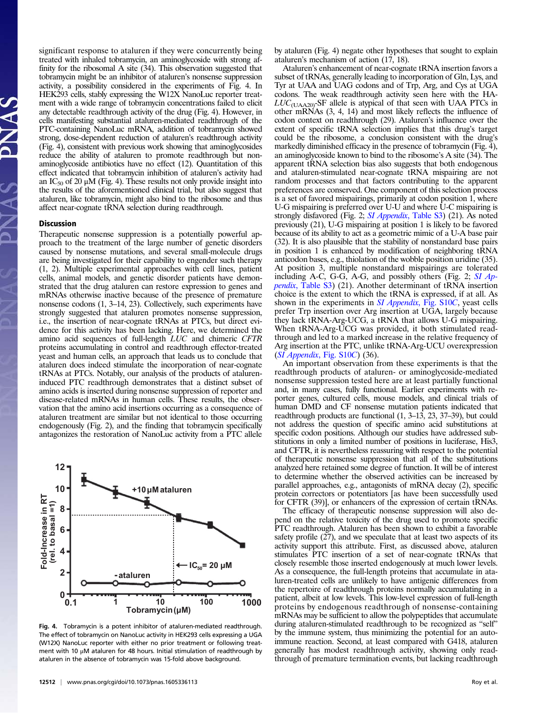significant response to ataluren if they were concurrently being treated with inhaled tobramycin, an aminoglycoside with strong affinity for the ribosomal A site (34). This observation suggested that tobramycin might be an inhibitor of ataluren's nonsense suppression activity, a possibility considered in the experiments of Fig. 4. In HEK293 cells, stably expressing the W12X NanoLuc reporter treatment with a wide range of tobramycin concentrations failed to elicit any detectable readthrough activity of the drug (Fig. 4). However, in cells manifesting substantial ataluren-mediated readthrough of the PTC-containing NanoLuc mRNA, addition of tobramycin showed strong, dose-dependent reduction of ataluren's readthrough activity (Fig. 4), consistent with previous work showing that aminoglycosides reduce the ability of ataluren to promote readthrough but nonaminoglycoside antibiotics have no effect (12). Quantitation of this effect indicated that tobramycin inhibition of ataluren's activity had an  $IC_{50}$  of 20  $\mu$ M (Fig. 4). These results not only provide insight into the results of the aforementioned clinical trial, but also suggest that ataluren, like tobramycin, might also bind to the ribosome and thus affect near-cognate tRNA selection during readthrough.

### Discussion

Therapeutic nonsense suppression is a potentially powerful approach to the treatment of the large number of genetic disorders caused by nonsense mutations, and several small-molecule drugs are being investigated for their capability to engender such therapy (1, 2). Multiple experimental approaches with cell lines, patient cells, animal models, and genetic disorder patients have demonstrated that the drug ataluren can restore expression to genes and mRNAs otherwise inactive because of the presence of premature nonsense codons (1, 3–14, 23). Collectively, such experiments have strongly suggested that ataluren promotes nonsense suppression, i.e., the insertion of near-cognate tRNAs at PTCs, but direct evidence for this activity has been lacking. Here, we determined the amino acid sequences of full-length LUC and chimeric CFTR proteins accumulating in control and readthrough effector-treated yeast and human cells, an approach that leads us to conclude that ataluren does indeed stimulate the incorporation of near-cognate tRNAs at PTCs. Notably, our analysis of the products of atalureninduced PTC readthrough demonstrates that a distinct subset of amino acids is inserted during nonsense suppression of reporter and disease-related mRNAs in human cells. These results, the observation that the amino acid insertions occurring as a consequence of ataluren treatment are similar but not identical to those occurring endogenously (Fig. 2), and the finding that tobramycin specifically antagonizes the restoration of NanoLuc activity from a PTC allele



Fig. 4. Tobramycin is a potent inhibitor of ataluren-mediated readthrough. The effect of tobramycin on NanoLuc activity in HEK293 cells expressing a UGA (W12X) NanoLuc reporter with either no prior treatment or following treatment with 10 μM ataluren for 48 hours. Initial stimulation of readthrough by ataluren in the absence of tobramycin was 15-fold above background.

by ataluren (Fig. 4) negate other hypotheses that sought to explain ataluren's mechanism of action (17, 18).

Ataluren's enhancement of near-cognate tRNA insertion favors a subset of tRNAs, generally leading to incorporation of Gln, Lys, and Tyr at UAA and UAG codons and of Trp, Arg, and Cys at UGA codons. The weak readthrough activity seen here with the HA- $LUC<sub>(UAA20)</sub>$ -SF allele is atypical of that seen with UAA PTCs in other mRNAs (3, 4, 14) and most likely reflects the influence of codon context on readthrough (29). Ataluren's influence over the extent of specific tRNA selection implies that this drug's target could be the ribosome, a conclusion consistent with the drug's markedly diminished efficacy in the presence of tobramycin (Fig. 4), an aminoglycoside known to bind to the ribosome's A site (34). The apparent tRNA selection bias also suggests that both endogenous and ataluren-stimulated near-cognate tRNA mispairing are not random processes and that factors contributing to the apparent preferences are conserved. One component of this selection process is a set of favored mispairings, primarily at codon position 1, where U-G mispairing is preferred over U-U and where U-C mispairing is strongly disfavored (Fig. 2; *SI Appendix*[, Table S3\)](http://www.pnas.org/lookup/suppl/doi:10.1073/pnas.1605336113/-/DCSupplemental/pnas.1605336113.sapp.pdf) (21). As noted previously (21), U-G mispairing at position 1 is likely to be favored because of its ability to act as a geometric mimic of a U-A base pair (32). It is also plausible that the stability of nonstandard base pairs in position 1 is enhanced by modification of neighboring tRNA anticodon bases, e.g., thiolation of the wobble position uridine (35). At position 3, multiple nonstandard mispairings are tolerated including A-C, G-G, A-G, and possibly others (Fig. 2;  $\overline{SI}$  Appendix[, Table S3](http://www.pnas.org/lookup/suppl/doi:10.1073/pnas.1605336113/-/DCSupplemental/pnas.1605336113.sapp.pdf)) (21). Another determinant of tRNA insertion choice is the extent to which the tRNA is expressed, if at all. As shown in the experiments in *SI Appendix*[, Fig. S10](http://www.pnas.org/lookup/suppl/doi:10.1073/pnas.1605336113/-/DCSupplemental/pnas.1605336113.sapp.pdf)C, yeast cells prefer Trp insertion over Arg insertion at UGA, largely because they lack tRNA-Arg-UCG, a tRNA that allows U-G mispairing. When tRNA-Arg-UCG was provided, it both stimulated readthrough and led to a marked increase in the relative frequency of Arg insertion at the PTC, unlike tRNA-Arg-UCU overexpression  $(SI$  Appendix[, Fig. S10](http://www.pnas.org/lookup/suppl/doi:10.1073/pnas.1605336113/-/DCSupplemental/pnas.1605336113.sapp.pdf)C) (36).

An important observation from these experiments is that the readthrough products of ataluren- or aminoglycoside-mediated nonsense suppression tested here are at least partially functional and, in many cases, fully functional. Earlier experiments with reporter genes, cultured cells, mouse models, and clinical trials of human DMD and CF nonsense mutation patients indicated that readthrough products are functional (1, 3–13, 23, 37–39), but could not address the question of specific amino acid substitutions at specific codon positions. Although our studies have addressed substitutions in only a limited number of positions in luciferase, His3, and CFTR, it is nevertheless reassuring with respect to the potential of therapeutic nonsense suppression that all of the substitutions analyzed here retained some degree of function. It will be of interest to determine whether the observed activities can be increased by parallel approaches, e.g., antagonists of mRNA decay (2), specific protein correctors or potentiators [as have been successfully used for CFTR (39)], or enhancers of the expression of certain tRNAs.

The efficacy of therapeutic nonsense suppression will also depend on the relative toxicity of the drug used to promote specific PTC readthrough. Ataluren has been shown to exhibit a favorable safety profile (27), and we speculate that at least two aspects of its activity support this attribute. First, as discussed above, ataluren stimulates PTC insertion of a set of near-cognate tRNAs that closely resemble those inserted endogenously at much lower levels. As a consequence, the full-length proteins that accumulate in ataluren-treated cells are unlikely to have antigenic differences from the repertoire of readthrough proteins normally accumulating in a patient, albeit at low levels. This low-level expression of full-length proteins by endogenous readthrough of nonsense-containing mRNAs may be sufficient to allow the polypeptides that accumulate during ataluren-stimulated readthrough to be recognized as "self" by the immune system, thus minimizing the potential for an autoimmune reaction. Second, at least compared with G418, ataluren generally has modest readthrough activity, showing only readthrough of premature termination events, but lacking readthrough